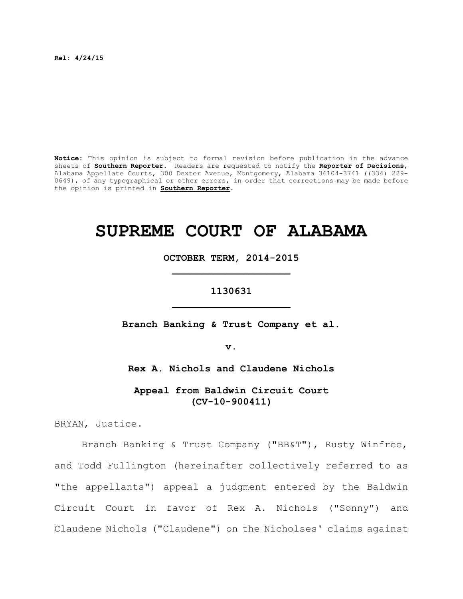**Rel: 4/24/15**

**Notice:** This opinion is subject to formal revision before publication in the advance sheets of **Southern Reporter**. Readers are requested to notify the **Reporter of Decisions**, Alabama Appellate Courts, 300 Dexter Avenue, Montgomery, Alabama 36104-3741 ((334) 229- 0649), of any typographical or other errors, in order that corrections may be made before the opinion is printed in **Southern Reporter**.

# **SUPREME COURT OF ALABAMA**

**OCTOBER TERM, 2014-2015 \_\_\_\_\_\_\_\_\_\_\_\_\_\_\_\_\_\_\_\_**

**1130631 \_\_\_\_\_\_\_\_\_\_\_\_\_\_\_\_\_\_\_\_**

**Branch Banking & Trust Company et al.**

**v.**

**Rex A. Nichols and Claudene Nichols**

**Appeal from Baldwin Circuit Court (CV-10-900411)**

BRYAN, Justice.

Branch Banking & Trust Company ("BB&T"), Rusty Winfree, and Todd Fullington (hereinafter collectively referred to as "the appellants") appeal a judgment entered by the Baldwin Circuit Court in favor of Rex A. Nichols ("Sonny") and Claudene Nichols ("Claudene") on the Nicholses' claims against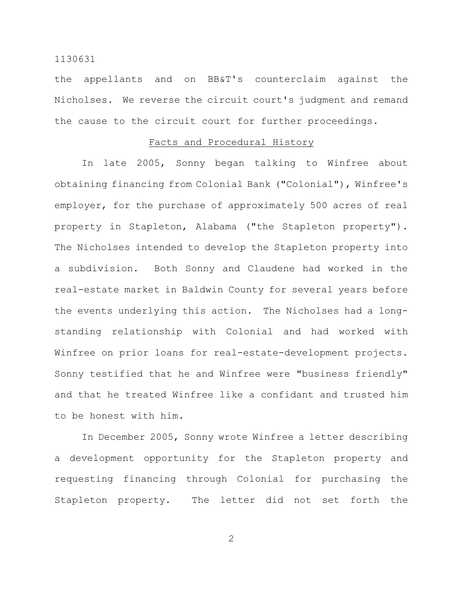the appellants and on BB&T's counterclaim against the Nicholses. We reverse the circuit court's judgment and remand the cause to the circuit court for further proceedings.

# Facts and Procedural History

In late 2005, Sonny began talking to Winfree about obtaining financing from Colonial Bank ("Colonial"), Winfree's employer, for the purchase of approximately 500 acres of real property in Stapleton, Alabama ("the Stapleton property"). The Nicholses intended to develop the Stapleton property into a subdivision. Both Sonny and Claudene had worked in the real-estate market in Baldwin County for several years before the events underlying this action. The Nicholses had a longstanding relationship with Colonial and had worked with Winfree on prior loans for real-estate-development projects. Sonny testified that he and Winfree were "business friendly" and that he treated Winfree like a confidant and trusted him to be honest with him.

In December 2005, Sonny wrote Winfree a letter describing a development opportunity for the Stapleton property and requesting financing through Colonial for purchasing the Stapleton property. The letter did not set forth the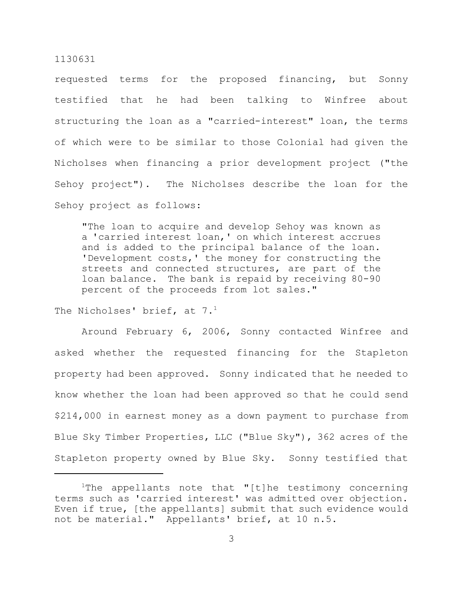requested terms for the proposed financing, but Sonny testified that he had been talking to Winfree about structuring the loan as a "carried-interest" loan, the terms of which were to be similar to those Colonial had given the Nicholses when financing a prior development project ("the Sehoy project"). The Nicholses describe the loan for the Sehoy project as follows:

"The loan to acquire and develop Sehoy was known as a 'carried interest loan,' on which interest accrues and is added to the principal balance of the loan. 'Development costs,' the money for constructing the streets and connected structures, are part of the loan balance. The bank is repaid by receiving 80-90 percent of the proceeds from lot sales."

The Nicholses' brief, at  $7.^1$ 

Around February 6, 2006, Sonny contacted Winfree and asked whether the requested financing for the Stapleton property had been approved. Sonny indicated that he needed to know whether the loan had been approved so that he could send \$214,000 in earnest money as a down payment to purchase from Blue Sky Timber Properties, LLC ("Blue Sky"), 362 acres of the Stapleton property owned by Blue Sky. Sonny testified that

The appellants note that "[t]he testimony concerning terms such as 'carried interest' was admitted over objection. Even if true, [the appellants] submit that such evidence would not be material." Appellants' brief, at 10 n.5.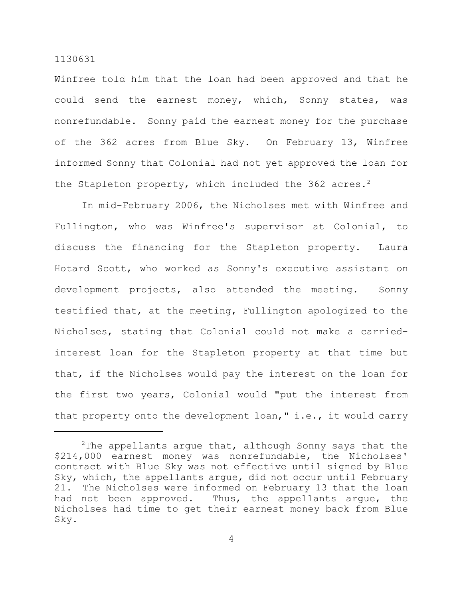Winfree told him that the loan had been approved and that he could send the earnest money, which, Sonny states, was nonrefundable. Sonny paid the earnest money for the purchase of the 362 acres from Blue Sky. On February 13, Winfree informed Sonny that Colonial had not yet approved the loan for the Stapleton property, which included the 362 acres.<sup>2</sup>

In mid-February 2006, the Nicholses met with Winfree and Fullington, who was Winfree's supervisor at Colonial, to discuss the financing for the Stapleton property. Laura Hotard Scott, who worked as Sonny's executive assistant on development projects, also attended the meeting. Sonny testified that, at the meeting, Fullington apologized to the Nicholses, stating that Colonial could not make a carriedinterest loan for the Stapleton property at that time but that, if the Nicholses would pay the interest on the loan for the first two years, Colonial would "put the interest from that property onto the development loan," i.e., it would carry

<sup>&</sup>lt;sup>2</sup>The appellants argue that, although Sonny says that the \$214,000 earnest money was nonrefundable, the Nicholses' contract with Blue Sky was not effective until signed by Blue Sky, which, the appellants argue, did not occur until February 21. The Nicholses were informed on February 13 that the loan had not been approved. Thus, the appellants argue, the Nicholses had time to get their earnest money back from Blue Sky.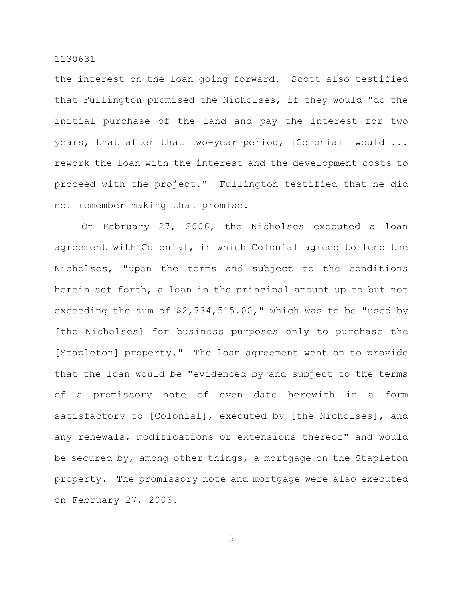the interest on the loan going forward. Scott also testified that Fullington promised the Nicholses, if they would "do the initial purchase of the land and pay the interest for two years, that after that two-year period, [Colonial] would ... rework the loan with the interest and the development costs to proceed with the project." Fullington testified that he did not remember making that promise.

On February 27, 2006, the Nicholses executed a loan agreement with Colonial, in which Colonial agreed to lend the Nicholses, "upon the terms and subject to the conditions herein set forth, a loan in the principal amount up to but not exceeding the sum of \$2,734,515.00," which was to be "used by [the Nicholses] for business purposes only to purchase the [Stapleton] property." The loan agreement went on to provide that the loan would be "evidenced by and subject to the terms of a promissory note of even date herewith in a form satisfactory to [Colonial], executed by [the Nicholses], and any renewals, modifications or extensions thereof" and would be secured by, among other things, a mortgage on the Stapleton property. The promissory note and mortgage were also executed on February 27, 2006.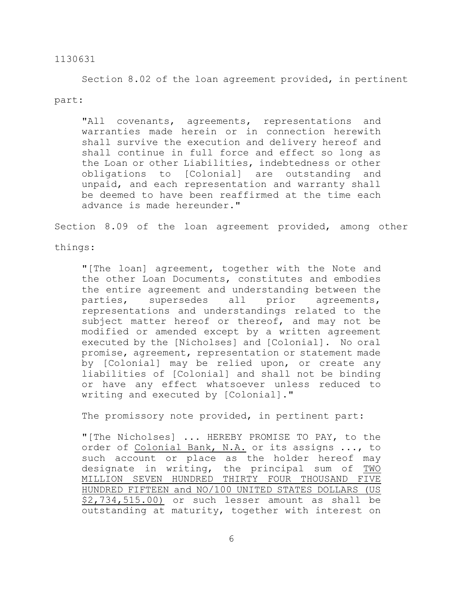Section 8.02 of the loan agreement provided, in pertinent part:

"All covenants, agreements, representations and warranties made herein or in connection herewith shall survive the execution and delivery hereof and shall continue in full force and effect so long as the Loan or other Liabilities, indebtedness or other obligations to [Colonial] are outstanding and unpaid, and each representation and warranty shall be deemed to have been reaffirmed at the time each advance is made hereunder."

Section 8.09 of the loan agreement provided, among other

things:

"[The loan] agreement, together with the Note and the other Loan Documents, constitutes and embodies the entire agreement and understanding between the parties, supersedes all prior agreements, representations and understandings related to the subject matter hereof or thereof, and may not be modified or amended except by a written agreement executed by the [Nicholses] and [Colonial]. No oral promise, agreement, representation or statement made by [Colonial] may be relied upon, or create any liabilities of [Colonial] and shall not be binding or have any effect whatsoever unless reduced to writing and executed by [Colonial]."

The promissory note provided, in pertinent part:

"[The Nicholses] ... HEREBY PROMISE TO PAY, to the order of Colonial Bank, N.A. or its assigns ..., to such account or place as the holder hereof may designate in writing, the principal sum of TWO MILLION SEVEN HUNDRED THIRTY FOUR THOUSAND FIVE HUNDRED FIFTEEN and NO/100 UNITED STATES DOLLARS (US \$2,734,515.00) or such lesser amount as shall be outstanding at maturity, together with interest on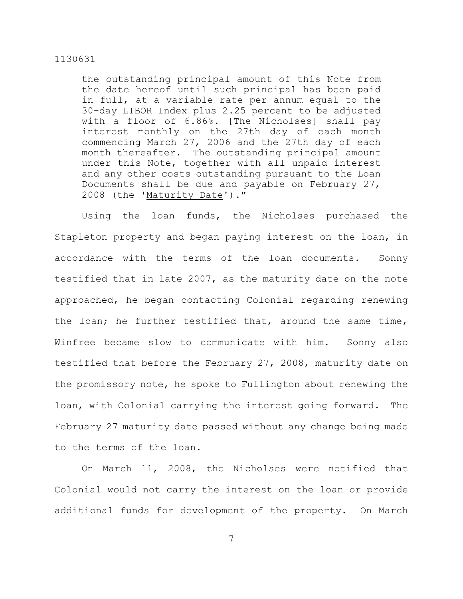the outstanding principal amount of this Note from the date hereof until such principal has been paid in full, at a variable rate per annum equal to the 30-day LIBOR Index plus 2.25 percent to be adjusted with a floor of 6.86%. [The Nicholses] shall pay interest monthly on the 27th day of each month commencing March 27, 2006 and the 27th day of each month thereafter. The outstanding principal amount under this Note, together with all unpaid interest and any other costs outstanding pursuant to the Loan Documents shall be due and payable on February 27, 2008 (the 'Maturity Date')."

Using the loan funds, the Nicholses purchased the Stapleton property and began paying interest on the loan, in accordance with the terms of the loan documents. Sonny testified that in late 2007, as the maturity date on the note approached, he began contacting Colonial regarding renewing the loan; he further testified that, around the same time, Winfree became slow to communicate with him. Sonny also testified that before the February 27, 2008, maturity date on the promissory note, he spoke to Fullington about renewing the loan, with Colonial carrying the interest going forward. The February 27 maturity date passed without any change being made to the terms of the loan.

On March 11, 2008, the Nicholses were notified that Colonial would not carry the interest on the loan or provide additional funds for development of the property. On March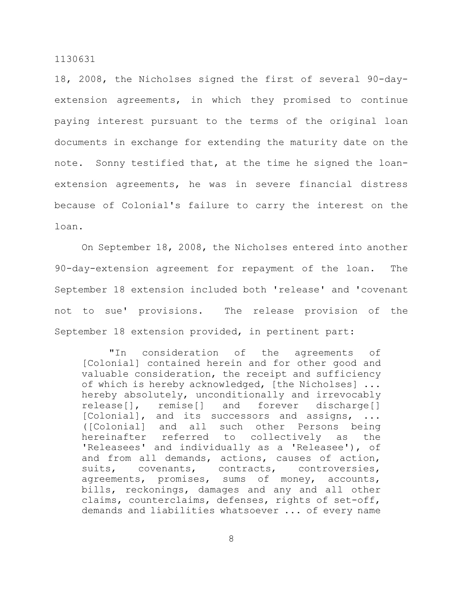18, 2008, the Nicholses signed the first of several 90-dayextension agreements, in which they promised to continue paying interest pursuant to the terms of the original loan documents in exchange for extending the maturity date on the note. Sonny testified that, at the time he signed the loanextension agreements, he was in severe financial distress because of Colonial's failure to carry the interest on the loan.

On September 18, 2008, the Nicholses entered into another 90-day-extension agreement for repayment of the loan. The September 18 extension included both 'release' and 'covenant not to sue' provisions. The release provision of the September 18 extension provided, in pertinent part:

"In consideration of the agreements of [Colonial] contained herein and for other good and valuable consideration, the receipt and sufficiency of which is hereby acknowledged, [the Nicholses] ... hereby absolutely, unconditionally and irrevocably release[], remise[] and forever discharge[] [Colonial], and its successors and assigns, ... ([Colonial] and all such other Persons being hereinafter referred to collectively as the 'Releasees' and individually as a 'Releasee'), of and from all demands, actions, causes of action, suits, covenants, contracts, controversies, agreements, promises, sums of money, accounts, bills, reckonings, damages and any and all other claims, counterclaims, defenses, rights of set-off, demands and liabilities whatsoever ... of every name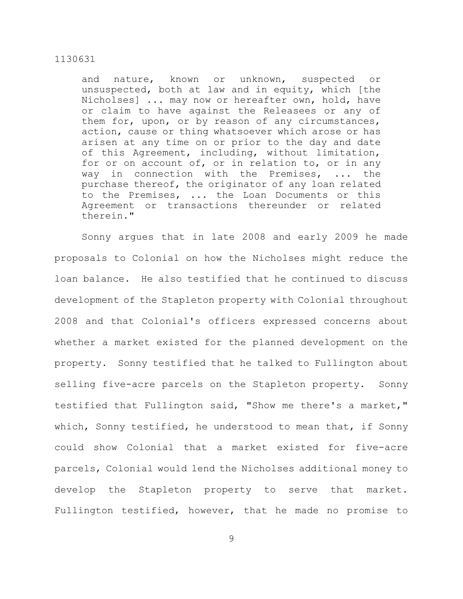and nature, known or unknown, suspected or unsuspected, both at law and in equity, which [the Nicholses] ... may now or hereafter own, hold, have or claim to have against the Releasees or any of them for, upon, or by reason of any circumstances, action, cause or thing whatsoever which arose or has arisen at any time on or prior to the day and date of this Agreement, including, without limitation, for or on account of, or in relation to, or in any way in connection with the Premises, ... the purchase thereof, the originator of any loan related to the Premises, ... the Loan Documents or this Agreement or transactions thereunder or related therein."

Sonny argues that in late 2008 and early 2009 he made proposals to Colonial on how the Nicholses might reduce the loan balance. He also testified that he continued to discuss development of the Stapleton property with Colonial throughout 2008 and that Colonial's officers expressed concerns about whether a market existed for the planned development on the property. Sonny testified that he talked to Fullington about selling five-acre parcels on the Stapleton property. Sonny testified that Fullington said, "Show me there's a market," which, Sonny testified, he understood to mean that, if Sonny could show Colonial that a market existed for five-acre parcels, Colonial would lend the Nicholses additional money to develop the Stapleton property to serve that market. Fullington testified, however, that he made no promise to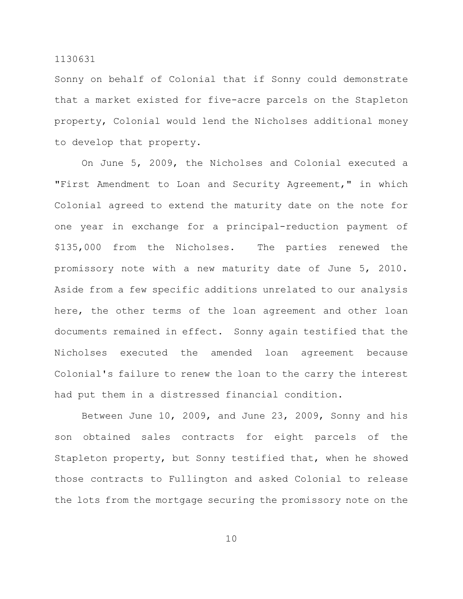Sonny on behalf of Colonial that if Sonny could demonstrate that a market existed for five-acre parcels on the Stapleton property, Colonial would lend the Nicholses additional money to develop that property.

On June 5, 2009, the Nicholses and Colonial executed a "First Amendment to Loan and Security Agreement," in which Colonial agreed to extend the maturity date on the note for one year in exchange for a principal-reduction payment of \$135,000 from the Nicholses. The parties renewed the promissory note with a new maturity date of June 5, 2010. Aside from a few specific additions unrelated to our analysis here, the other terms of the loan agreement and other loan documents remained in effect. Sonny again testified that the Nicholses executed the amended loan agreement because Colonial's failure to renew the loan to the carry the interest had put them in a distressed financial condition.

Between June 10, 2009, and June 23, 2009, Sonny and his son obtained sales contracts for eight parcels of the Stapleton property, but Sonny testified that, when he showed those contracts to Fullington and asked Colonial to release the lots from the mortgage securing the promissory note on the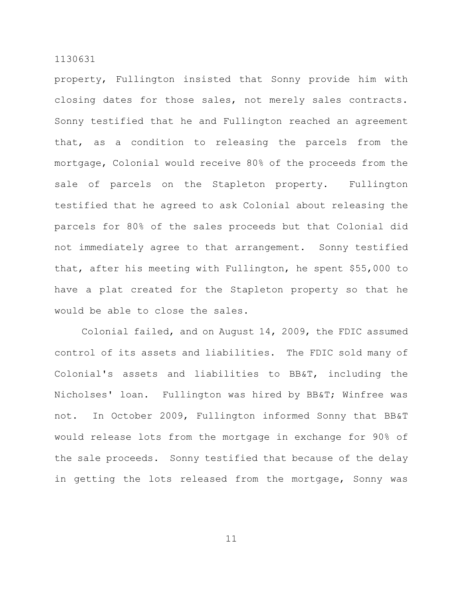property, Fullington insisted that Sonny provide him with closing dates for those sales, not merely sales contracts. Sonny testified that he and Fullington reached an agreement that, as a condition to releasing the parcels from the mortgage, Colonial would receive 80% of the proceeds from the sale of parcels on the Stapleton property. Fullington testified that he agreed to ask Colonial about releasing the parcels for 80% of the sales proceeds but that Colonial did not immediately agree to that arrangement. Sonny testified that, after his meeting with Fullington, he spent \$55,000 to have a plat created for the Stapleton property so that he would be able to close the sales.

Colonial failed, and on August 14, 2009, the FDIC assumed control of its assets and liabilities. The FDIC sold many of Colonial's assets and liabilities to BB&T, including the Nicholses' loan. Fullington was hired by BB&T; Winfree was not. In October 2009, Fullington informed Sonny that BB&T would release lots from the mortgage in exchange for 90% of the sale proceeds. Sonny testified that because of the delay in getting the lots released from the mortgage, Sonny was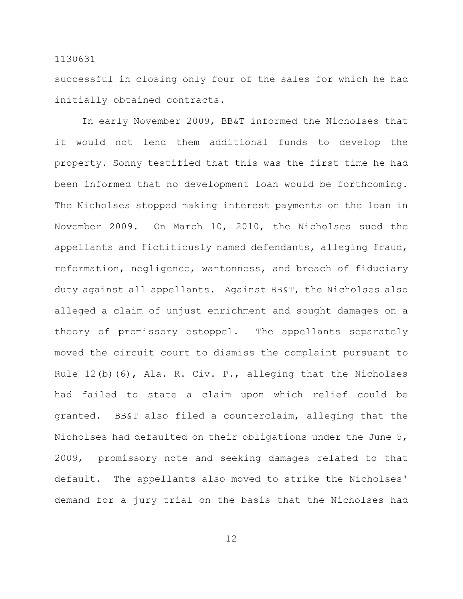successful in closing only four of the sales for which he had initially obtained contracts.

In early November 2009, BB&T informed the Nicholses that it would not lend them additional funds to develop the property. Sonny testified that this was the first time he had been informed that no development loan would be forthcoming. The Nicholses stopped making interest payments on the loan in November 2009. On March 10, 2010, the Nicholses sued the appellants and fictitiously named defendants, alleging fraud, reformation, negligence, wantonness, and breach of fiduciary duty against all appellants. Against BB&T, the Nicholses also alleged a claim of unjust enrichment and sought damages on a theory of promissory estoppel. The appellants separately moved the circuit court to dismiss the complaint pursuant to Rule 12(b)(6), Ala. R. Civ. P., alleging that the Nicholses had failed to state a claim upon which relief could be granted. BB&T also filed a counterclaim, alleging that the Nicholses had defaulted on their obligations under the June 5, 2009, promissory note and seeking damages related to that default. The appellants also moved to strike the Nicholses' demand for a jury trial on the basis that the Nicholses had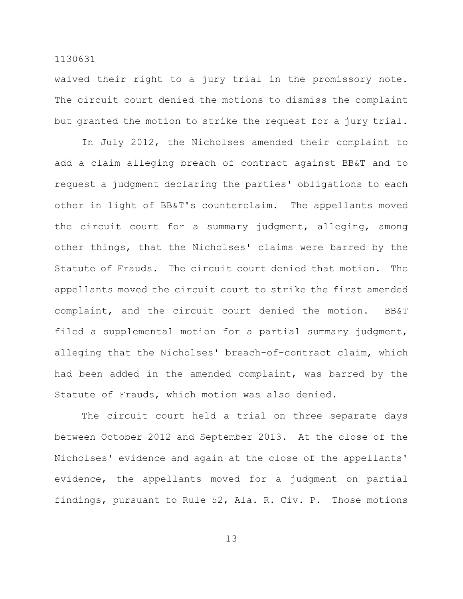waived their right to a jury trial in the promissory note. The circuit court denied the motions to dismiss the complaint but granted the motion to strike the request for a jury trial.

In July 2012, the Nicholses amended their complaint to add a claim alleging breach of contract against BB&T and to request a judgment declaring the parties' obligations to each other in light of BB&T's counterclaim. The appellants moved the circuit court for a summary judgment, alleging, among other things, that the Nicholses' claims were barred by the Statute of Frauds. The circuit court denied that motion. The appellants moved the circuit court to strike the first amended complaint, and the circuit court denied the motion. BB&T filed a supplemental motion for a partial summary judgment, alleging that the Nicholses' breach-of-contract claim, which had been added in the amended complaint, was barred by the Statute of Frauds, which motion was also denied.

The circuit court held a trial on three separate days between October 2012 and September 2013. At the close of the Nicholses' evidence and again at the close of the appellants' evidence, the appellants moved for a judgment on partial findings, pursuant to Rule 52, Ala. R. Civ. P. Those motions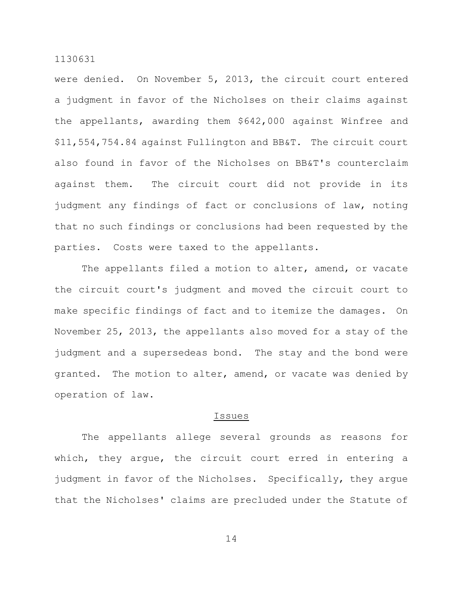were denied. On November 5, 2013, the circuit court entered a judgment in favor of the Nicholses on their claims against the appellants, awarding them \$642,000 against Winfree and \$11,554,754.84 against Fullington and BB&T. The circuit court also found in favor of the Nicholses on BB&T's counterclaim against them. The circuit court did not provide in its judgment any findings of fact or conclusions of law, noting that no such findings or conclusions had been requested by the parties. Costs were taxed to the appellants.

The appellants filed a motion to alter, amend, or vacate the circuit court's judgment and moved the circuit court to make specific findings of fact and to itemize the damages. On November 25, 2013, the appellants also moved for a stay of the judgment and a supersedeas bond. The stay and the bond were granted. The motion to alter, amend, or vacate was denied by operation of law.

## Issues

The appellants allege several grounds as reasons for which, they argue, the circuit court erred in entering a judgment in favor of the Nicholses. Specifically, they argue that the Nicholses' claims are precluded under the Statute of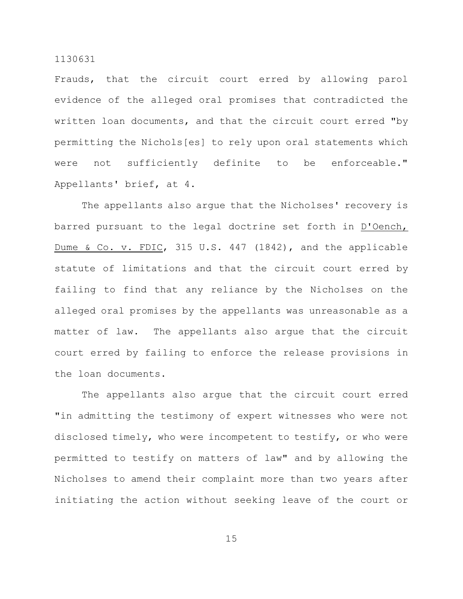Frauds, that the circuit court erred by allowing parol evidence of the alleged oral promises that contradicted the written loan documents, and that the circuit court erred "by permitting the Nichols[es] to rely upon oral statements which were not sufficiently definite to be enforceable." Appellants' brief, at 4.

The appellants also argue that the Nicholses' recovery is barred pursuant to the legal doctrine set forth in D'Oench, Dume & Co. v. FDIC, 315 U.S. 447 (1842), and the applicable statute of limitations and that the circuit court erred by failing to find that any reliance by the Nicholses on the alleged oral promises by the appellants was unreasonable as a matter of law. The appellants also argue that the circuit court erred by failing to enforce the release provisions in the loan documents.

The appellants also argue that the circuit court erred "in admitting the testimony of expert witnesses who were not disclosed timely, who were incompetent to testify, or who were permitted to testify on matters of law" and by allowing the Nicholses to amend their complaint more than two years after initiating the action without seeking leave of the court or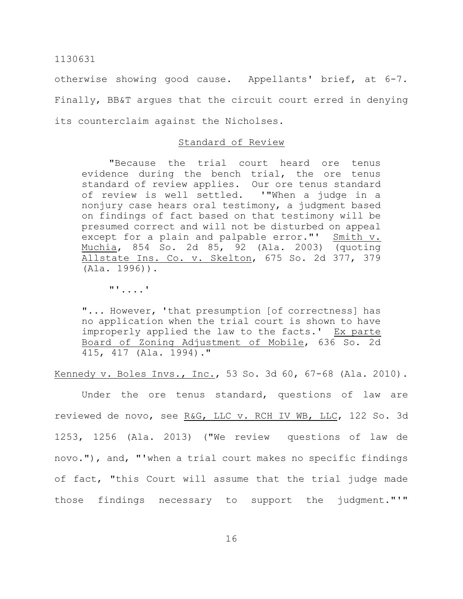otherwise showing good cause. Appellants' brief, at 6-7. Finally, BB&T argues that the circuit court erred in denying its counterclaim against the Nicholses.

# Standard of Review

"Because the trial court heard ore tenus evidence during the bench trial, the ore tenus standard of review applies. Our ore tenus standard of review is well settled. '"When a judge in a nonjury case hears oral testimony, a judgment based on findings of fact based on that testimony will be presumed correct and will not be disturbed on appeal except for a plain and palpable error."' Smith v. Muchia, 854 So. 2d 85, 92 (Ala. 2003) (quoting Allstate Ins. Co. v. Skelton, 675 So. 2d 377, 379 (Ala. 1996)).

"'....'

"... However, 'that presumption [of correctness] has no application when the trial court is shown to have improperly applied the law to the facts.' Ex parte Board of Zoning Adjustment of Mobile, 636 So. 2d 415, 417 (Ala. 1994)."

Kennedy v. Boles Invs., Inc., 53 So. 3d 60, 67-68 (Ala. 2010).

Under the ore tenus standard, questions of law are reviewed de novo, see R&G, LLC v. RCH IV WB, LLC, 122 So. 3d 1253, 1256 (Ala. 2013) ("We review questions of law de novo."), and, "'when a trial court makes no specific findings of fact, "this Court will assume that the trial judge made those findings necessary to support the judgment."'"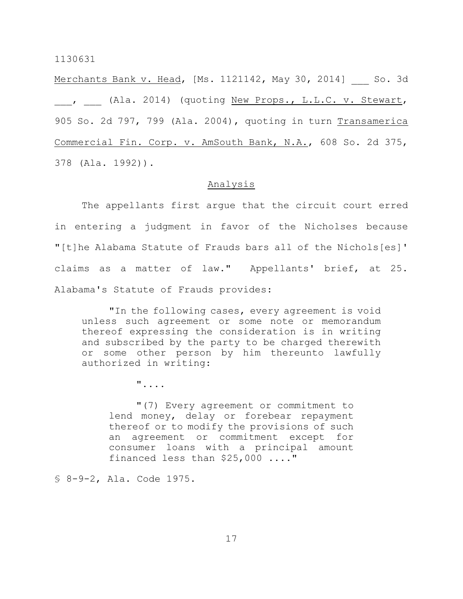Merchants Bank v. Head, [Ms. 1121142, May 30, 2014] So. 3d , (Ala. 2014) (quoting New Props., L.L.C. v. Stewart, 905 So. 2d 797, 799 (Ala. 2004), quoting in turn Transamerica Commercial Fin. Corp. v. AmSouth Bank, N.A., 608 So. 2d 375, 378 (Ala. 1992)).

# Analysis

The appellants first argue that the circuit court erred in entering a judgment in favor of the Nicholses because "[t]he Alabama Statute of Frauds bars all of the Nichols[es]' claims as a matter of law." Appellants' brief, at 25. Alabama's Statute of Frauds provides:

"In the following cases, every agreement is void unless such agreement or some note or memorandum thereof expressing the consideration is in writing and subscribed by the party to be charged therewith or some other person by him thereunto lawfully authorized in writing:

"....

"(7) Every agreement or commitment to lend money, delay or forebear repayment thereof or to modify the provisions of such an agreement or commitment except for consumer loans with a principal amount financed less than \$25,000 ...."

§ 8-9-2, Ala. Code 1975.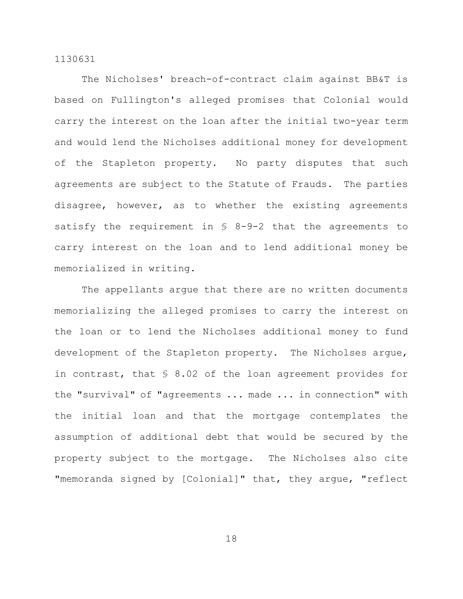The Nicholses' breach-of-contract claim against BB&T is based on Fullington's alleged promises that Colonial would carry the interest on the loan after the initial two-year term and would lend the Nicholses additional money for development of the Stapleton property. No party disputes that such agreements are subject to the Statute of Frauds. The parties disagree, however, as to whether the existing agreements satisfy the requirement in § 8-9-2 that the agreements to carry interest on the loan and to lend additional money be memorialized in writing.

The appellants argue that there are no written documents memorializing the alleged promises to carry the interest on the loan or to lend the Nicholses additional money to fund development of the Stapleton property. The Nicholses argue, in contrast, that § 8.02 of the loan agreement provides for the "survival" of "agreements ... made ... in connection" with the initial loan and that the mortgage contemplates the assumption of additional debt that would be secured by the property subject to the mortgage. The Nicholses also cite "memoranda signed by [Colonial]" that, they argue, "reflect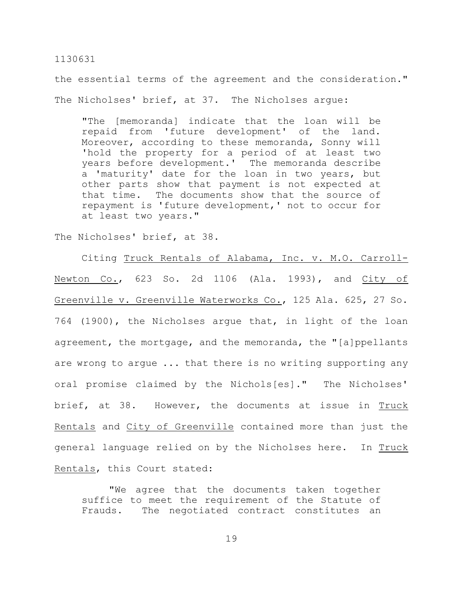the essential terms of the agreement and the consideration." The Nicholses' brief, at 37. The Nicholses arque:

"The [memoranda] indicate that the loan will be repaid from 'future development' of the land. Moreover, according to these memoranda, Sonny will 'hold the property for a period of at least two years before development.' The memoranda describe a 'maturity' date for the loan in two years, but other parts show that payment is not expected at that time. The documents show that the source of repayment is 'future development,' not to occur for at least two years."

The Nicholses' brief, at 38.

Citing Truck Rentals of Alabama, Inc. v. M.O. Carroll-Newton Co., 623 So. 2d 1106 (Ala. 1993), and City of Greenville v. Greenville Waterworks Co., 125 Ala. 625, 27 So. 764 (1900), the Nicholses argue that, in light of the loan agreement, the mortgage, and the memoranda, the "[a]ppellants are wrong to argue ... that there is no writing supporting any oral promise claimed by the Nichols[es]." The Nicholses' brief, at 38. However, the documents at issue in Truck Rentals and City of Greenville contained more than just the general language relied on by the Nicholses here. In Truck Rentals, this Court stated:

"We agree that the documents taken together suffice to meet the requirement of the Statute of Frauds. The negotiated contract constitutes an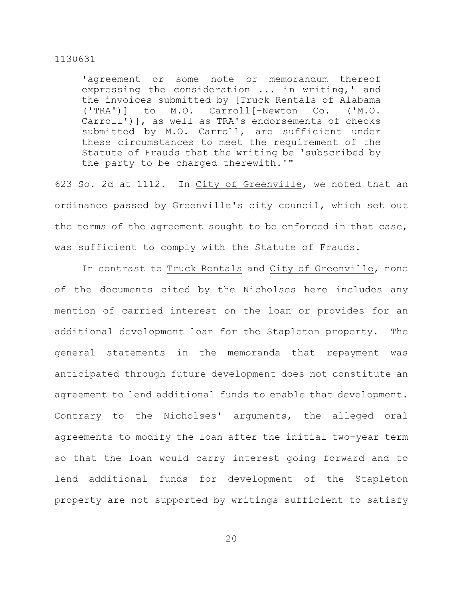'agreement or some note or memorandum thereof expressing the consideration ... in writing,' and the invoices submitted by [Truck Rentals of Alabama ('TRA')] to M.O. Carroll[-Newton Co. ('M.O. Carroll')], as well as TRA's endorsements of checks submitted by M.O. Carroll, are sufficient under these circumstances to meet the requirement of the Statute of Frauds that the writing be 'subscribed by the party to be charged therewith.'"

623 So. 2d at 1112. In City of Greenville, we noted that an ordinance passed by Greenville's city council, which set out the terms of the agreement sought to be enforced in that case, was sufficient to comply with the Statute of Frauds.

In contrast to Truck Rentals and City of Greenville, none of the documents cited by the Nicholses here includes any mention of carried interest on the loan or provides for an additional development loan for the Stapleton property. The general statements in the memoranda that repayment was anticipated through future development does not constitute an agreement to lend additional funds to enable that development. Contrary to the Nicholses' arguments, the alleged oral agreements to modify the loan after the initial two-year term so that the loan would carry interest going forward and to lend additional funds for development of the Stapleton property are not supported by writings sufficient to satisfy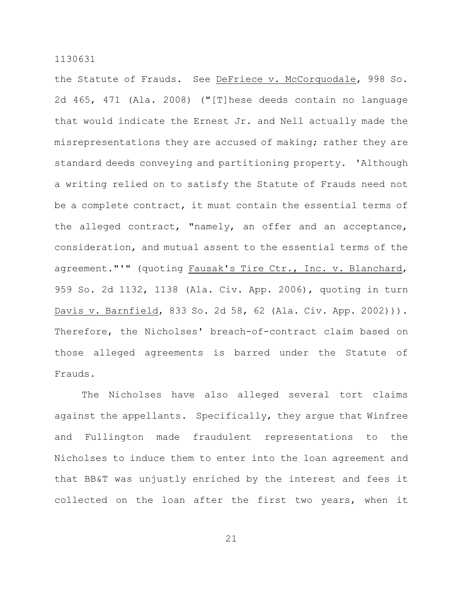the Statute of Frauds. See DeFriece v. McCorquodale, 998 So. 2d 465, 471 (Ala. 2008) ("[T]hese deeds contain no language that would indicate the Ernest Jr. and Nell actually made the misrepresentations they are accused of making; rather they are standard deeds conveying and partitioning property. 'Although a writing relied on to satisfy the Statute of Frauds need not be a complete contract, it must contain the essential terms of the alleged contract, "namely, an offer and an acceptance, consideration, and mutual assent to the essential terms of the agreement."'" (quoting Fausak's Tire Ctr., Inc. v. Blanchard, 959 So. 2d 1132, 1138 (Ala. Civ. App. 2006), quoting in turn Davis v. Barnfield, 833 So. 2d 58, 62 (Ala. Civ. App. 2002))). Therefore, the Nicholses' breach-of-contract claim based on those alleged agreements is barred under the Statute of Frauds.

The Nicholses have also alleged several tort claims against the appellants. Specifically, they argue that Winfree and Fullington made fraudulent representations to the Nicholses to induce them to enter into the loan agreement and that BB&T was unjustly enriched by the interest and fees it collected on the loan after the first two years, when it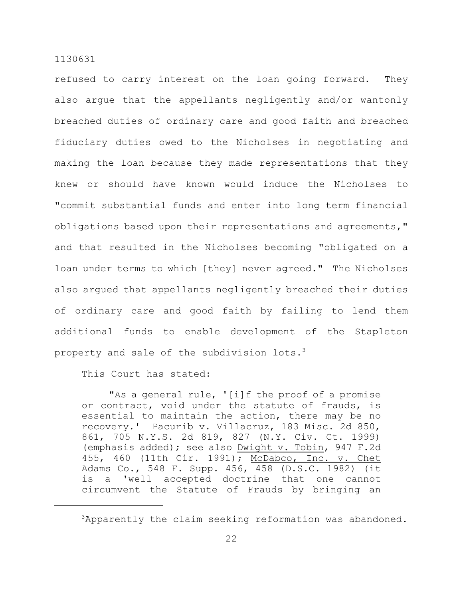refused to carry interest on the loan going forward. They also argue that the appellants negligently and/or wantonly breached duties of ordinary care and good faith and breached fiduciary duties owed to the Nicholses in negotiating and making the loan because they made representations that they knew or should have known would induce the Nicholses to "commit substantial funds and enter into long term financial obligations based upon their representations and agreements," and that resulted in the Nicholses becoming "obligated on a loan under terms to which [they] never agreed." The Nicholses also argued that appellants negligently breached their duties of ordinary care and good faith by failing to lend them additional funds to enable development of the Stapleton property and sale of the subdivision lots.<sup>3</sup>

This Court has stated:

"As a general rule, '[i]f the proof of a promise or contract, void under the statute of frauds, is essential to maintain the action, there may be no recovery.' Pacurib v. Villacruz, 183 Misc. 2d 850, 861, 705 N.Y.S. 2d 819, 827 (N.Y. Civ. Ct. 1999) (emphasis added); see also Dwight v. Tobin, 947 F.2d 455, 460 (11th Cir. 1991); McDabco, Inc. v. Chet Adams Co., 548 F. Supp. 456, 458 (D.S.C. 1982) (it is a 'well accepted doctrine that one cannot circumvent the Statute of Frauds by bringing an

 $3$ Apparently the claim seeking reformation was abandoned.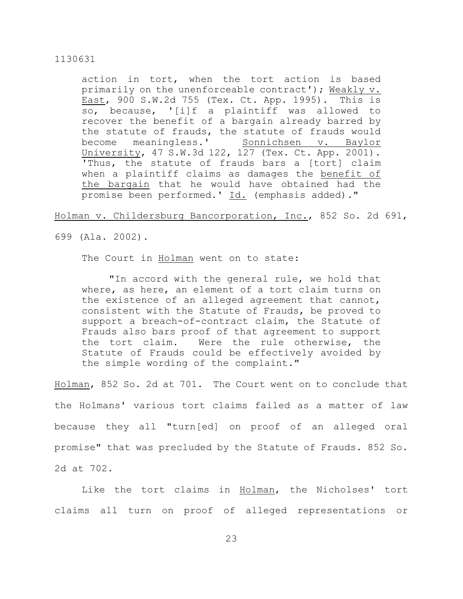action in tort, when the tort action is based primarily on the unenforceable contract'); Weakly v. East, 900 S.W.2d 755 (Tex. Ct. App. 1995). This is so, because, '[i]f a plaintiff was allowed to recover the benefit of a bargain already barred by the statute of frauds, the statute of frauds would become meaningless.' Sonnichsen v. Baylor University, 47 S.W.3d 122, 127 (Tex. Ct. App. 2001). 'Thus, the statute of frauds bars a [tort] claim when a plaintiff claims as damages the benefit of the bargain that he would have obtained had the promise been performed.' Id. (emphasis added)."

Holman v. Childersburg Bancorporation, Inc., 852 So. 2d 691,

699 (Ala. 2002).

The Court in Holman went on to state:

"In accord with the general rule, we hold that where, as here, an element of a tort claim turns on the existence of an alleged agreement that cannot, consistent with the Statute of Frauds, be proved to support a breach-of-contract claim, the Statute of Frauds also bars proof of that agreement to support the tort claim. Were the rule otherwise, the Statute of Frauds could be effectively avoided by the simple wording of the complaint."

Holman, 852 So. 2d at 701. The Court went on to conclude that the Holmans' various tort claims failed as a matter of law because they all "turn[ed] on proof of an alleged oral promise" that was precluded by the Statute of Frauds. 852 So. 2d at 702.

Like the tort claims in Holman, the Nicholses' tort claims all turn on proof of alleged representations or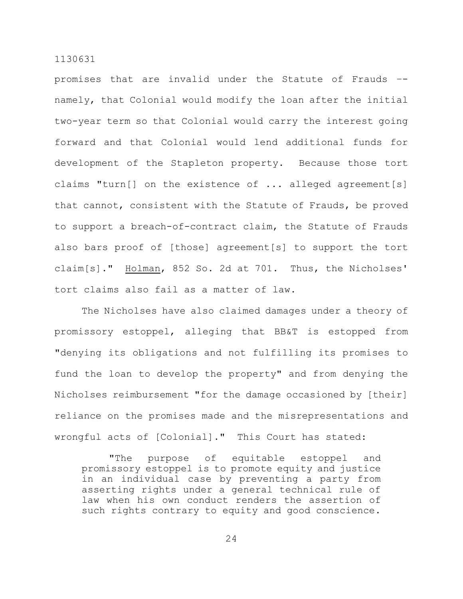promises that are invalid under the Statute of Frauds – namely, that Colonial would modify the loan after the initial two-year term so that Colonial would carry the interest going forward and that Colonial would lend additional funds for development of the Stapleton property. Because those tort claims "turn[] on the existence of ... alleged agreement[s] that cannot, consistent with the Statute of Frauds, be proved to support a breach-of-contract claim, the Statute of Frauds also bars proof of [those] agreement[s] to support the tort claim[s]." Holman, 852 So. 2d at 701. Thus, the Nicholses' tort claims also fail as a matter of law.

The Nicholses have also claimed damages under a theory of promissory estoppel, alleging that BB&T is estopped from "denying its obligations and not fulfilling its promises to fund the loan to develop the property" and from denying the Nicholses reimbursement "for the damage occasioned by [their] reliance on the promises made and the misrepresentations and wrongful acts of [Colonial]." This Court has stated:

"The purpose of equitable estoppel and promissory estoppel is to promote equity and justice in an individual case by preventing a party from asserting rights under a general technical rule of law when his own conduct renders the assertion of such rights contrary to equity and good conscience.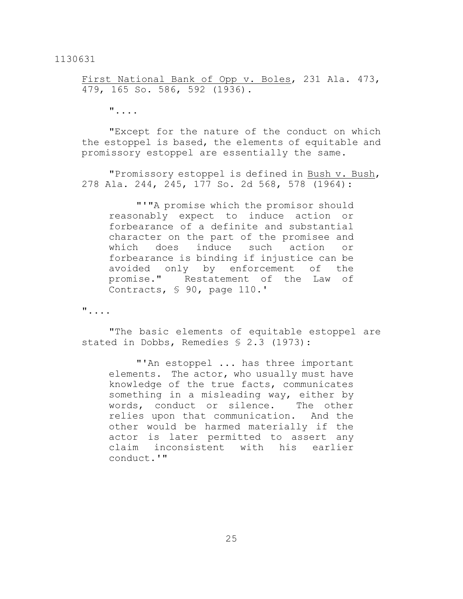First National Bank of Opp v. Boles, 231 Ala. 473, 479, 165 So. 586, 592 (1936).

"....

"Except for the nature of the conduct on which the estoppel is based, the elements of equitable and promissory estoppel are essentially the same.

"Promissory estoppel is defined in Bush v. Bush, 278 Ala. 244, 245, 177 So. 2d 568, 578 (1964):

"'"A promise which the promisor should reasonably expect to induce action or forbearance of a definite and substantial character on the part of the promisee and which does induce such action or forbearance is binding if injustice can be avoided only by enforcement of the promise." Restatement of the Law of Contracts, § 90, page 110.'

"....

"The basic elements of equitable estoppel are stated in Dobbs, Remedies § 2.3 (1973):

"'An estoppel ... has three important elements. The actor, who usually must have knowledge of the true facts, communicates something in a misleading way, either by words, conduct or silence. The other relies upon that communication. And the other would be harmed materially if the actor is later permitted to assert any claim inconsistent with his earlier conduct.'"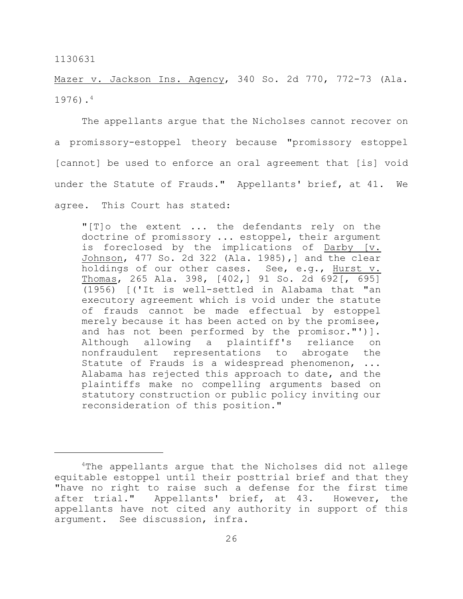Mazer v. Jackson Ins. Agency, 340 So. 2d 770, 772-73 (Ala. 1976). 4

The appellants argue that the Nicholses cannot recover on a promissory-estoppel theory because "promissory estoppel [cannot] be used to enforce an oral agreement that [is] void under the Statute of Frauds." Appellants' brief, at 41. We agree. This Court has stated:

"[T]o the extent ... the defendants rely on the doctrine of promissory ... estoppel, their argument is foreclosed by the implications of Darby [v. Johnson, 477 So. 2d 322 (Ala. 1985),] and the clear holdings of our other cases. See, e.g., Hurst v. Thomas, 265 Ala. 398, [402,] 91 So. 2d 692[, 695] (1956) [('It is well-settled in Alabama that "an executory agreement which is void under the statute of frauds cannot be made effectual by estoppel merely because it has been acted on by the promisee, and has not been performed by the promisor."')]. Although allowing a plaintiff's reliance on nonfraudulent representations to abrogate the Statute of Frauds is a widespread phenomenon, ... Alabama has rejected this approach to date, and the plaintiffs make no compelling arguments based on statutory construction or public policy inviting our reconsideration of this position."

<sup>&</sup>lt;sup>4</sup>The appellants argue that the Nicholses did not allege equitable estoppel until their posttrial brief and that they "have no right to raise such a defense for the first time after trial." Appellants' brief, at 43. However, the appellants have not cited any authority in support of this argument. See discussion, infra.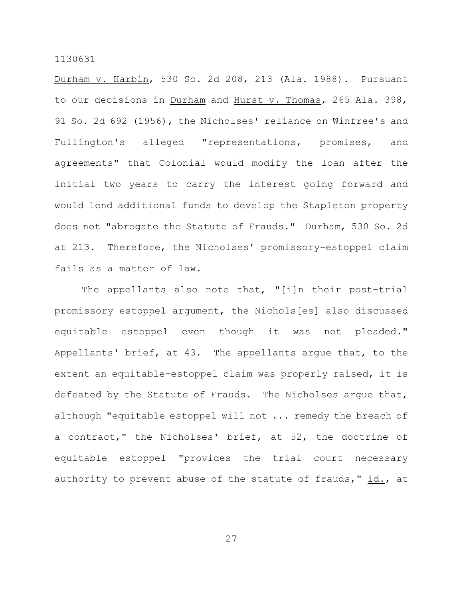Durham v. Harbin, 530 So. 2d 208, 213 (Ala. 1988). Pursuant to our decisions in Durham and Hurst v. Thomas, 265 Ala. 398, 91 So. 2d 692 (1956), the Nicholses' reliance on Winfree's and Fullington's alleged "representations, promises, and agreements" that Colonial would modify the loan after the initial two years to carry the interest going forward and would lend additional funds to develop the Stapleton property does not "abrogate the Statute of Frauds." Durham, 530 So. 2d at 213. Therefore, the Nicholses' promissory-estoppel claim fails as a matter of law.

The appellants also note that, "[i]n their post-trial promissory estoppel argument, the Nichols[es] also discussed equitable estoppel even though it was not pleaded." Appellants' brief, at 43. The appellants argue that, to the extent an equitable-estoppel claim was properly raised, it is defeated by the Statute of Frauds. The Nicholses argue that, although "equitable estoppel will not ... remedy the breach of a contract," the Nicholses' brief, at 52, the doctrine of equitable estoppel "provides the trial court necessary authority to prevent abuse of the statute of frauds," id., at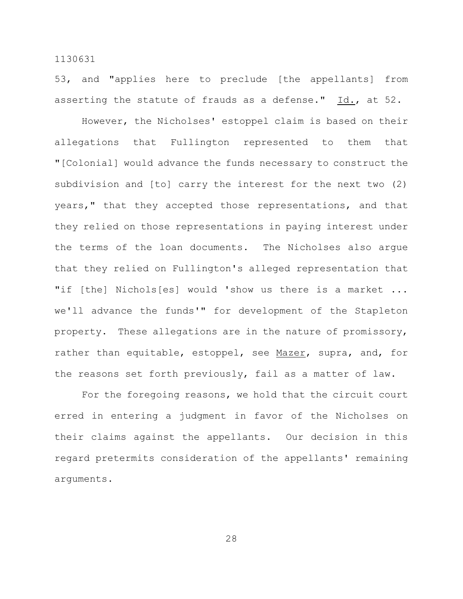53, and "applies here to preclude [the appellants] from asserting the statute of frauds as a defense."  $Id.,$  at 52.

However, the Nicholses' estoppel claim is based on their allegations that Fullington represented to them that "[Colonial] would advance the funds necessary to construct the subdivision and [to] carry the interest for the next two (2) years," that they accepted those representations, and that they relied on those representations in paying interest under the terms of the loan documents. The Nicholses also argue that they relied on Fullington's alleged representation that "if [the] Nichols[es] would 'show us there is a market ... we'll advance the funds'" for development of the Stapleton property. These allegations are in the nature of promissory, rather than equitable, estoppel, see Mazer, supra, and, for the reasons set forth previously, fail as a matter of law.

For the foregoing reasons, we hold that the circuit court erred in entering a judgment in favor of the Nicholses on their claims against the appellants. Our decision in this regard pretermits consideration of the appellants' remaining arguments.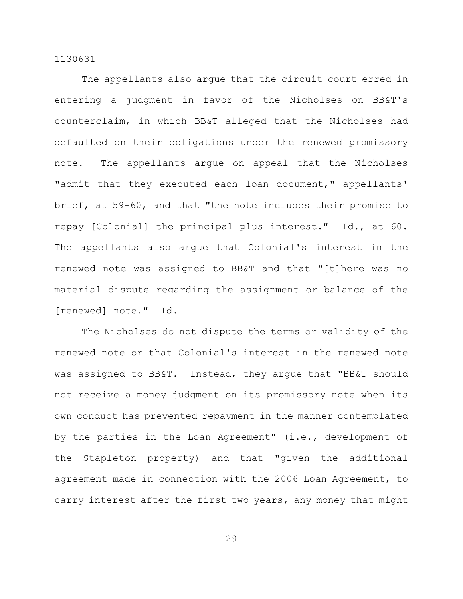The appellants also argue that the circuit court erred in entering a judgment in favor of the Nicholses on BB&T's counterclaim, in which BB&T alleged that the Nicholses had defaulted on their obligations under the renewed promissory note. The appellants argue on appeal that the Nicholses "admit that they executed each loan document," appellants' brief, at 59-60, and that "the note includes their promise to repay [Colonial] the principal plus interest." Id., at 60. The appellants also argue that Colonial's interest in the renewed note was assigned to BB&T and that "[t]here was no material dispute regarding the assignment or balance of the [renewed] note." Id.

The Nicholses do not dispute the terms or validity of the renewed note or that Colonial's interest in the renewed note was assigned to BB&T. Instead, they argue that "BB&T should not receive a money judgment on its promissory note when its own conduct has prevented repayment in the manner contemplated by the parties in the Loan Agreement" (i.e., development of the Stapleton property) and that "given the additional agreement made in connection with the 2006 Loan Agreement, to carry interest after the first two years, any money that might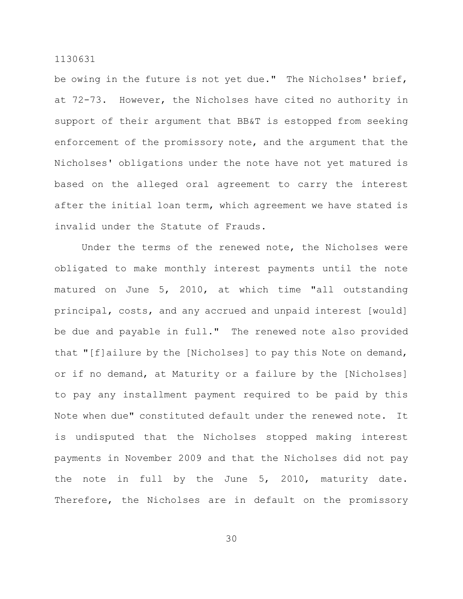be owing in the future is not yet due." The Nicholses' brief, at 72-73. However, the Nicholses have cited no authority in support of their argument that BB&T is estopped from seeking enforcement of the promissory note, and the argument that the Nicholses' obligations under the note have not yet matured is based on the alleged oral agreement to carry the interest after the initial loan term, which agreement we have stated is invalid under the Statute of Frauds.

Under the terms of the renewed note, the Nicholses were obligated to make monthly interest payments until the note matured on June 5, 2010, at which time "all outstanding principal, costs, and any accrued and unpaid interest [would] be due and payable in full." The renewed note also provided that "[f]ailure by the [Nicholses] to pay this Note on demand, or if no demand, at Maturity or a failure by the [Nicholses] to pay any installment payment required to be paid by this Note when due" constituted default under the renewed note. It is undisputed that the Nicholses stopped making interest payments in November 2009 and that the Nicholses did not pay the note in full by the June 5, 2010, maturity date. Therefore, the Nicholses are in default on the promissory